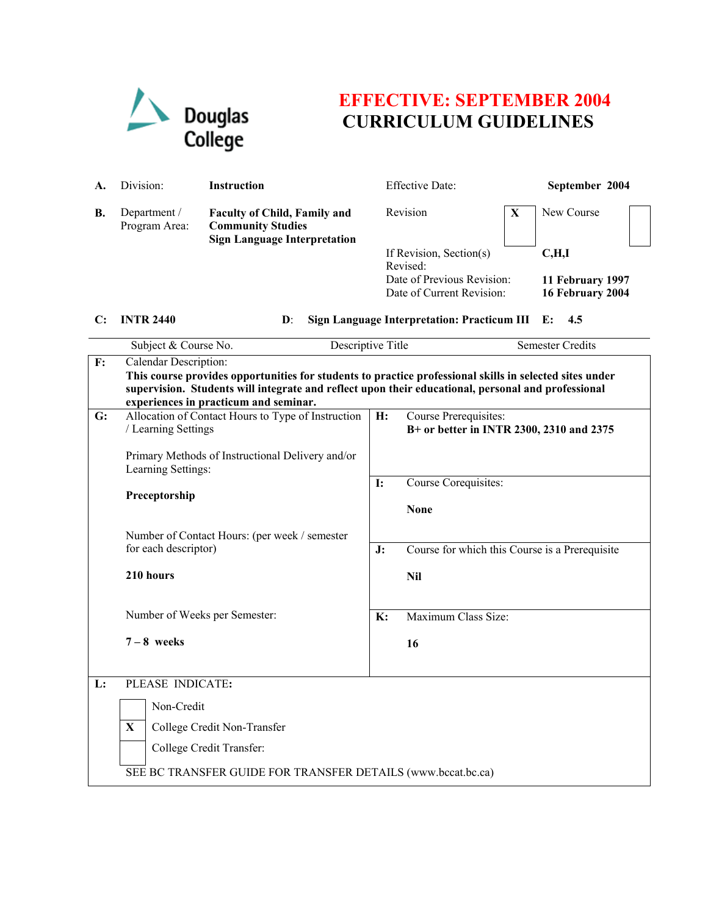

## **EFFECTIVE: SEPTEMBER 2004 CURRICULUM GUIDELINES**

| A. | Division:                     | <b>Instruction</b>                                                                                     | <b>Effective Date:</b>                                  |   | September 2004                       |  |
|----|-------------------------------|--------------------------------------------------------------------------------------------------------|---------------------------------------------------------|---|--------------------------------------|--|
| В. | Department /<br>Program Area: | <b>Faculty of Child, Family and</b><br><b>Community Studies</b><br><b>Sign Language Interpretation</b> | Revision                                                | X | New Course                           |  |
|    |                               |                                                                                                        | If Revision, Section(s)<br>Revised:                     |   | C, H, I                              |  |
|    |                               |                                                                                                        | Date of Previous Revision:<br>Date of Current Revision: |   | 11 February 1997<br>16 February 2004 |  |

## **C: INTR 2440 D**: **Sign Language Interpretation: Practicum III E: 4.5**

|    | Subject & Course No.                                                                                                                                                                                          | Descriptive Title | <b>Semester Credits</b>                                           |  |  |  |  |
|----|---------------------------------------------------------------------------------------------------------------------------------------------------------------------------------------------------------------|-------------------|-------------------------------------------------------------------|--|--|--|--|
| F: | Calendar Description:                                                                                                                                                                                         |                   |                                                                   |  |  |  |  |
|    | This course provides opportunities for students to practice professional skills in selected sites under<br>supervision. Students will integrate and reflect upon their educational, personal and professional |                   |                                                                   |  |  |  |  |
|    | experiences in practicum and seminar.                                                                                                                                                                         |                   |                                                                   |  |  |  |  |
| G: | Allocation of Contact Hours to Type of Instruction<br>/ Learning Settings                                                                                                                                     | H:                | Course Prerequisites:<br>B+ or better in INTR 2300, 2310 and 2375 |  |  |  |  |
|    | Primary Methods of Instructional Delivery and/or<br>Learning Settings:                                                                                                                                        |                   |                                                                   |  |  |  |  |
|    | Preceptorship                                                                                                                                                                                                 |                   | Course Corequisites:                                              |  |  |  |  |
|    |                                                                                                                                                                                                               |                   | <b>None</b>                                                       |  |  |  |  |
|    | Number of Contact Hours: (per week / semester<br>for each descriptor)<br>210 hours<br>Number of Weeks per Semester:                                                                                           |                   |                                                                   |  |  |  |  |
|    |                                                                                                                                                                                                               |                   | Course for which this Course is a Prerequisite                    |  |  |  |  |
|    |                                                                                                                                                                                                               |                   | <b>Nil</b>                                                        |  |  |  |  |
|    |                                                                                                                                                                                                               |                   | Maximum Class Size:                                               |  |  |  |  |
|    | $7 - 8$ weeks                                                                                                                                                                                                 |                   | 16                                                                |  |  |  |  |
| L: | PLEASE INDICATE:                                                                                                                                                                                              |                   |                                                                   |  |  |  |  |
|    | Non-Credit                                                                                                                                                                                                    |                   |                                                                   |  |  |  |  |
|    | X<br>College Credit Non-Transfer                                                                                                                                                                              |                   |                                                                   |  |  |  |  |
|    |                                                                                                                                                                                                               |                   |                                                                   |  |  |  |  |
|    | College Credit Transfer:                                                                                                                                                                                      |                   |                                                                   |  |  |  |  |
|    | SEE BC TRANSFER GUIDE FOR TRANSFER DETAILS (www.bccat.bc.ca)                                                                                                                                                  |                   |                                                                   |  |  |  |  |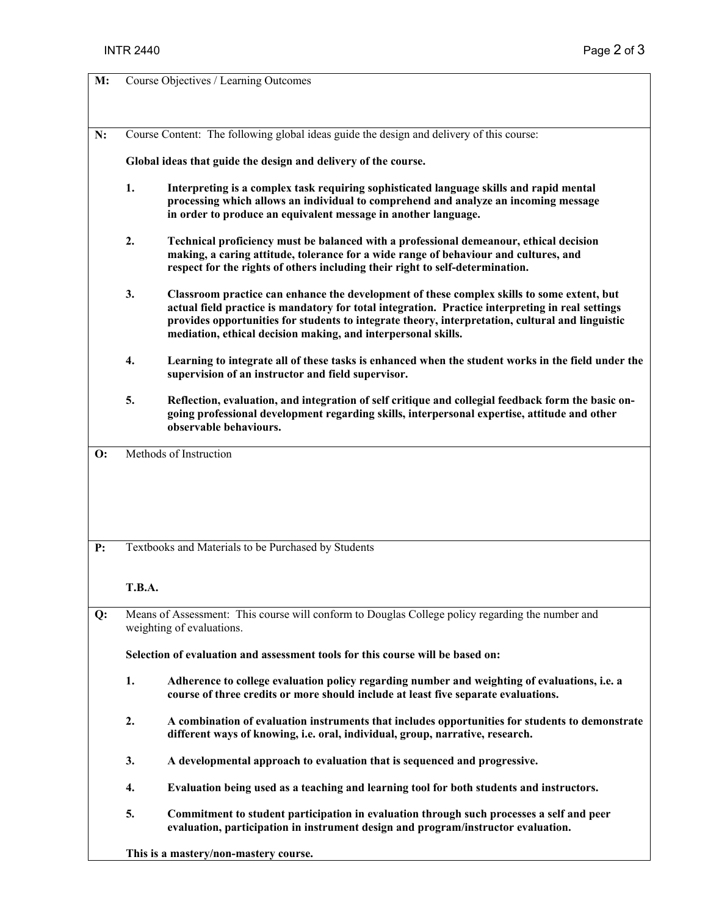| M:             |                                                                                                                                                                                                                                                        | Course Objectives / Learning Outcomes                                                                                                                                                                                                                                                                                                                               |  |  |  |
|----------------|--------------------------------------------------------------------------------------------------------------------------------------------------------------------------------------------------------------------------------------------------------|---------------------------------------------------------------------------------------------------------------------------------------------------------------------------------------------------------------------------------------------------------------------------------------------------------------------------------------------------------------------|--|--|--|
|                |                                                                                                                                                                                                                                                        |                                                                                                                                                                                                                                                                                                                                                                     |  |  |  |
|                |                                                                                                                                                                                                                                                        |                                                                                                                                                                                                                                                                                                                                                                     |  |  |  |
| N:             | Course Content: The following global ideas guide the design and delivery of this course:                                                                                                                                                               |                                                                                                                                                                                                                                                                                                                                                                     |  |  |  |
|                | Global ideas that guide the design and delivery of the course.                                                                                                                                                                                         |                                                                                                                                                                                                                                                                                                                                                                     |  |  |  |
|                | 1.<br>Interpreting is a complex task requiring sophisticated language skills and rapid mental<br>processing which allows an individual to comprehend and analyze an incoming message<br>in order to produce an equivalent message in another language. |                                                                                                                                                                                                                                                                                                                                                                     |  |  |  |
|                | 2.                                                                                                                                                                                                                                                     | Technical proficiency must be balanced with a professional demeanour, ethical decision<br>making, a caring attitude, tolerance for a wide range of behaviour and cultures, and<br>respect for the rights of others including their right to self-determination.                                                                                                     |  |  |  |
|                | 3.                                                                                                                                                                                                                                                     | Classroom practice can enhance the development of these complex skills to some extent, but<br>actual field practice is mandatory for total integration. Practice interpreting in real settings<br>provides opportunities for students to integrate theory, interpretation, cultural and linguistic<br>mediation, ethical decision making, and interpersonal skills. |  |  |  |
|                | 4.                                                                                                                                                                                                                                                     | Learning to integrate all of these tasks is enhanced when the student works in the field under the<br>supervision of an instructor and field supervisor.                                                                                                                                                                                                            |  |  |  |
|                | 5.                                                                                                                                                                                                                                                     | Reflection, evaluation, and integration of self critique and collegial feedback form the basic on-<br>going professional development regarding skills, interpersonal expertise, attitude and other<br>observable behaviours.                                                                                                                                        |  |  |  |
| $\mathbf{O}$ : |                                                                                                                                                                                                                                                        | Methods of Instruction                                                                                                                                                                                                                                                                                                                                              |  |  |  |
| P:             |                                                                                                                                                                                                                                                        | Textbooks and Materials to be Purchased by Students                                                                                                                                                                                                                                                                                                                 |  |  |  |
|                | <b>T.B.A.</b>                                                                                                                                                                                                                                          |                                                                                                                                                                                                                                                                                                                                                                     |  |  |  |
| Q:             |                                                                                                                                                                                                                                                        | Means of Assessment: This course will conform to Douglas College policy regarding the number and<br>weighting of evaluations.                                                                                                                                                                                                                                       |  |  |  |
|                | Selection of evaluation and assessment tools for this course will be based on:                                                                                                                                                                         |                                                                                                                                                                                                                                                                                                                                                                     |  |  |  |
|                | 1.                                                                                                                                                                                                                                                     | Adherence to college evaluation policy regarding number and weighting of evaluations, i.e. a<br>course of three credits or more should include at least five separate evaluations.                                                                                                                                                                                  |  |  |  |
|                | 2.                                                                                                                                                                                                                                                     | A combination of evaluation instruments that includes opportunities for students to demonstrate<br>different ways of knowing, i.e. oral, individual, group, narrative, research.                                                                                                                                                                                    |  |  |  |
|                | 3.                                                                                                                                                                                                                                                     | A developmental approach to evaluation that is sequenced and progressive.                                                                                                                                                                                                                                                                                           |  |  |  |
|                | 4.                                                                                                                                                                                                                                                     | Evaluation being used as a teaching and learning tool for both students and instructors.                                                                                                                                                                                                                                                                            |  |  |  |
|                | 5.                                                                                                                                                                                                                                                     | Commitment to student participation in evaluation through such processes a self and peer<br>evaluation, participation in instrument design and program/instructor evaluation.                                                                                                                                                                                       |  |  |  |
|                | This is a mastery/non-mastery course.                                                                                                                                                                                                                  |                                                                                                                                                                                                                                                                                                                                                                     |  |  |  |